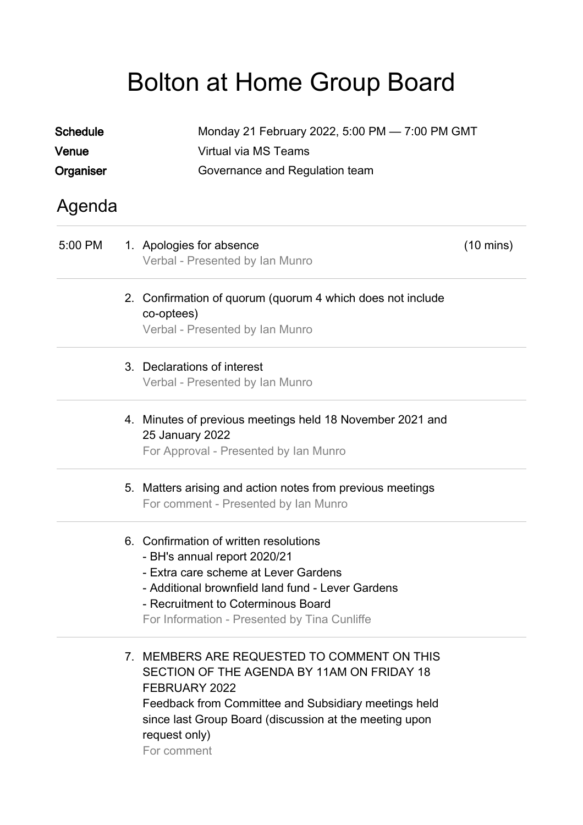## Bolton at Home Group Board

| <b>Schedule</b> | Monday 21 February 2022, 5:00 PM - 7:00 PM GMT |                                                                                                                                                                                                                                                              |                     |  |  |  |
|-----------------|------------------------------------------------|--------------------------------------------------------------------------------------------------------------------------------------------------------------------------------------------------------------------------------------------------------------|---------------------|--|--|--|
| Venue           |                                                | Virtual via MS Teams                                                                                                                                                                                                                                         |                     |  |  |  |
| Organiser       |                                                | Governance and Regulation team                                                                                                                                                                                                                               |                     |  |  |  |
| Agenda          |                                                |                                                                                                                                                                                                                                                              |                     |  |  |  |
| 5:00 PM         |                                                | 1. Apologies for absence<br>Verbal - Presented by Ian Munro                                                                                                                                                                                                  | $(10 \text{ mins})$ |  |  |  |
|                 |                                                | 2. Confirmation of quorum (quorum 4 which does not include<br>co-optees)<br>Verbal - Presented by Ian Munro                                                                                                                                                  |                     |  |  |  |
|                 |                                                | 3. Declarations of interest<br>Verbal - Presented by Ian Munro                                                                                                                                                                                               |                     |  |  |  |
|                 |                                                | 4. Minutes of previous meetings held 18 November 2021 and<br><b>25 January 2022</b><br>For Approval - Presented by Ian Munro                                                                                                                                 |                     |  |  |  |
|                 |                                                | 5. Matters arising and action notes from previous meetings<br>For comment - Presented by Ian Munro                                                                                                                                                           |                     |  |  |  |
|                 |                                                | 6. Confirmation of written resolutions<br>- BH's annual report 2020/21<br>- Extra care scheme at Lever Gardens<br>- Additional brownfield land fund - Lever Gardens<br>- Recruitment to Coterminous Board<br>For Information - Presented by Tina Cunliffe    |                     |  |  |  |
|                 |                                                | 7. MEMBERS ARE REQUESTED TO COMMENT ON THIS<br>SECTION OF THE AGENDA BY 11AM ON FRIDAY 18<br>FEBRUARY 2022<br>Feedback from Committee and Subsidiary meetings held<br>since last Group Board (discussion at the meeting upon<br>request only)<br>For comment |                     |  |  |  |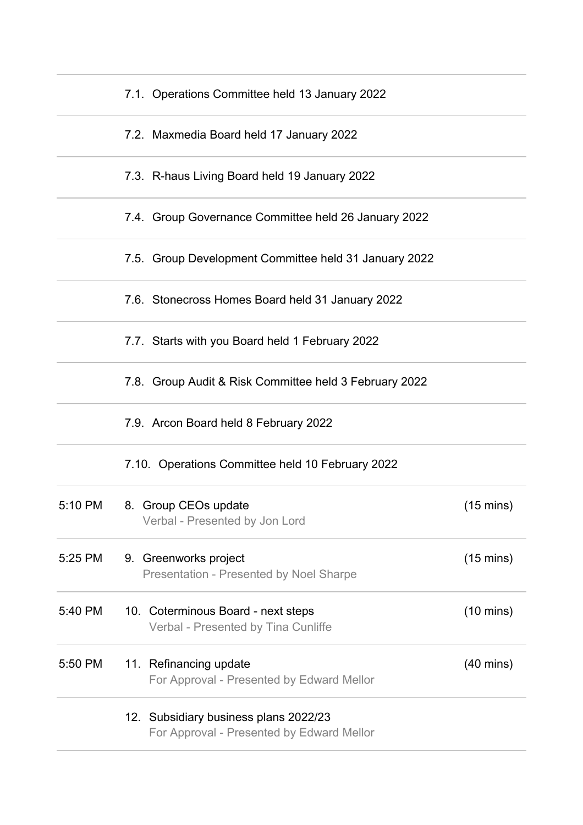|         | 7.1. Operations Committee held 13 January 2022                                     |                     |
|---------|------------------------------------------------------------------------------------|---------------------|
|         | 7.2. Maxmedia Board held 17 January 2022                                           |                     |
|         | 7.3. R-haus Living Board held 19 January 2022                                      |                     |
|         | 7.4. Group Governance Committee held 26 January 2022                               |                     |
|         | 7.5. Group Development Committee held 31 January 2022                              |                     |
|         | 7.6. Stonecross Homes Board held 31 January 2022                                   |                     |
|         | 7.7. Starts with you Board held 1 February 2022                                    |                     |
|         | 7.8. Group Audit & Risk Committee held 3 February 2022                             |                     |
|         | 7.9. Arcon Board held 8 February 2022                                              |                     |
|         | 7.10. Operations Committee held 10 February 2022                                   |                     |
| 5:10 PM | 8. Group CEOs update<br>Verbal - Presented by Jon Lord                             | $(15 \text{ mins})$ |
| 5:25 PM | 9. Greenworks project<br><b>Presentation - Presented by Noel Sharpe</b>            | $(15 \text{ mins})$ |
| 5:40 PM | 10. Coterminous Board - next steps<br>Verbal - Presented by Tina Cunliffe          | $(10 \text{ mins})$ |
| 5:50 PM | 11. Refinancing update<br>For Approval - Presented by Edward Mellor                | $(40 \text{ mins})$ |
|         | 12. Subsidiary business plans 2022/23<br>For Approval - Presented by Edward Mellor |                     |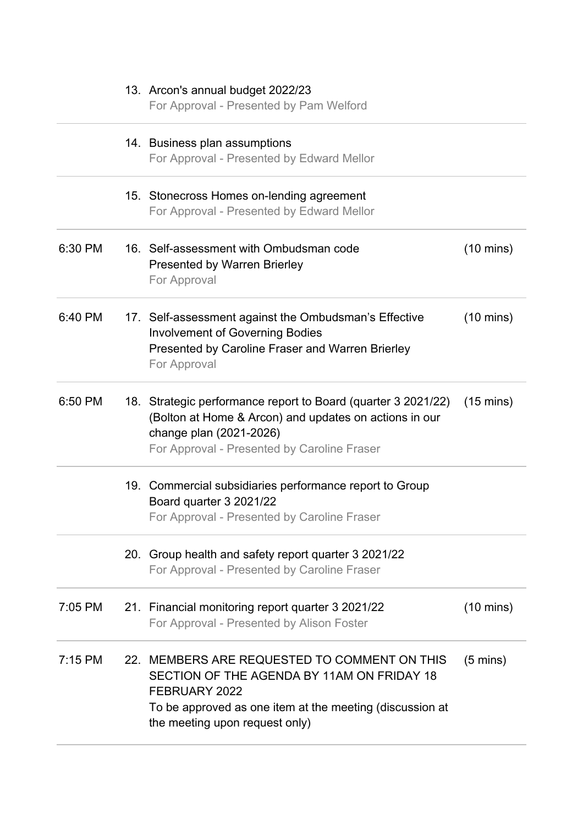|           | 13. Arcon's annual budget 2022/23<br>For Approval - Presented by Pam Welford                                                                                                                              |                     |
|-----------|-----------------------------------------------------------------------------------------------------------------------------------------------------------------------------------------------------------|---------------------|
|           | 14. Business plan assumptions<br>For Approval - Presented by Edward Mellor                                                                                                                                |                     |
|           | 15. Stonecross Homes on-lending agreement<br>For Approval - Presented by Edward Mellor                                                                                                                    |                     |
| 6:30 PM   | 16. Self-assessment with Ombudsman code<br><b>Presented by Warren Brierley</b><br>For Approval                                                                                                            | $(10 \text{ mins})$ |
| 6:40 PM   | 17. Self-assessment against the Ombudsman's Effective<br><b>Involvement of Governing Bodies</b><br>Presented by Caroline Fraser and Warren Brierley<br>For Approval                                       | $(10 \text{ mins})$ |
| 6:50 PM   | 18. Strategic performance report to Board (quarter 3 2021/22)<br>(Bolton at Home & Arcon) and updates on actions in our<br>change plan (2021-2026)<br>For Approval - Presented by Caroline Fraser         | $(15 \text{ mins})$ |
|           | 19. Commercial subsidiaries performance report to Group<br>Board quarter 3 2021/22<br>For Approval - Presented by Caroline Fraser                                                                         |                     |
|           | 20. Group health and safety report quarter 3 2021/22<br>For Approval - Presented by Caroline Fraser                                                                                                       |                     |
| 7:05 PM   | 21. Financial monitoring report quarter 3 2021/22<br>For Approval - Presented by Alison Foster                                                                                                            | $(10 \text{ mins})$ |
| $7:15$ PM | 22. MEMBERS ARE REQUESTED TO COMMENT ON THIS<br>SECTION OF THE AGENDA BY 11AM ON FRIDAY 18<br>FEBRUARY 2022<br>To be approved as one item at the meeting (discussion at<br>the meeting upon request only) | $(5 \text{ mins})$  |